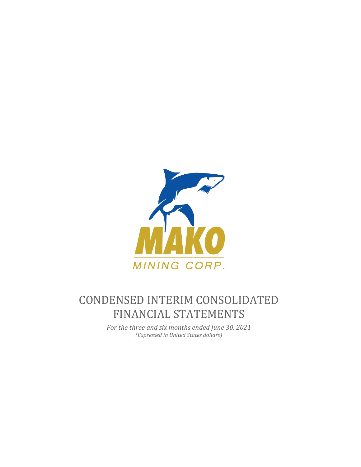

# CONDENSED INTERIM CONSOLIDATED FINANCIAL STATEMENTS

*For the three and six months ended June 30, 2021 (Expressed in United States dollars)*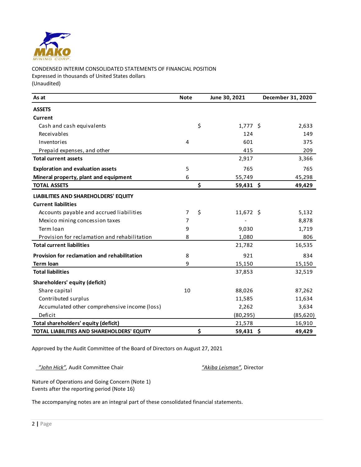

# CONDENSED INTERIM CONSOLIDATED STATEMENTS OF FINANCIAL POSITION Expressed in thousands of United States dollars (Unaudited)

| As at                                         | <b>Note</b> | June 30, 2021     | December 31, 2020 |
|-----------------------------------------------|-------------|-------------------|-------------------|
| <b>ASSETS</b>                                 |             |                   |                   |
| Current                                       |             |                   |                   |
| Cash and cash equivalents                     |             | \$<br>$1,777$ \$  | 2,633             |
| Receivables                                   |             | 124               | 149               |
| Inventories                                   | 4           | 601               | 375               |
| Prepaid expenses, and other                   |             | 415               | 209               |
| <b>Total current assets</b>                   |             | 2,917             | 3,366             |
| <b>Exploration and evaluation assets</b>      | 5           | 765               | 765               |
| Mineral property, plant and equipment         | 6           | 55,749            | 45,298            |
| <b>TOTAL ASSETS</b>                           |             | \$<br>$59,431$ \$ | 49,429            |
| <b>LIABILITIES AND SHAREHOLDERS' EQUITY</b>   |             |                   |                   |
| <b>Current liabilities</b>                    |             |                   |                   |
| Accounts payable and accrued liabilities      | 7           | \$<br>11,672 \$   | 5,132             |
| Mexico mining concession taxes                | 7           |                   | 8,878             |
| Term loan                                     | 9           | 9,030             | 1,719             |
| Provision for reclamation and rehabilitation  | 8           | 1,080             | 806               |
| <b>Total current liabilities</b>              |             | 21,782            | 16,535            |
| Provision for reclamation and rehabilitation  | 8           | 921               | 834               |
| <b>Term loan</b>                              | 9           | 15,150            | 15,150            |
| <b>Total liabilities</b>                      |             | 37,853            | 32,519            |
| Shareholders' equity (deficit)                |             |                   |                   |
| Share capital                                 | 10          | 88,026            | 87,262            |
| Contributed surplus                           |             | 11,585            | 11,634            |
| Accumulated other comprehensive income (loss) |             | 2,262             | 3,634             |
| Deficit                                       |             | (80, 295)         | (85, 620)         |
| Total shareholders' equity (deficit)          |             | 21,578            | 16,910            |
| TOTAL LIABILITIES AND SHAREHOLDERS' EQUITY    |             | \$<br>59,431 \$   | 49,429            |

Approved by the Audit Committee of the Board of Directors on August 27, 2021

 *"John Hick",* Audit Committee Chair *"Akiba Leisman",* Director

Nature of Operations and Going Concern (Note 1) Events after the reporting period (Note 16)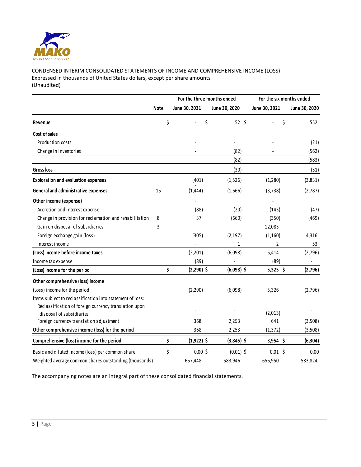

# CONDENSED INTERIM CONSOLIDATED STATEMENTS OF INCOME AND COMPREHENSIVE INCOME (LOSS) Expressed in thousands of United States dollars, except per share amounts (Unaudited)

|                                                           |             | For the three months ended |               | For the six months ended |                          |  |  |
|-----------------------------------------------------------|-------------|----------------------------|---------------|--------------------------|--------------------------|--|--|
|                                                           | <b>Note</b> | June 30, 2021              | June 30, 2020 | June 30, 2021            | June 30, 2020            |  |  |
| Revenue                                                   | \$          | \$                         | $52 \;$ \$    | \$                       | 552                      |  |  |
| Cost of sales                                             |             |                            |               |                          |                          |  |  |
| Production costs                                          |             |                            |               |                          | (21)                     |  |  |
| Change in inventories                                     |             |                            | (82)          |                          | (562)                    |  |  |
|                                                           |             | $\blacksquare$             | (82)          | $\frac{1}{2}$            | (583)                    |  |  |
| <b>Gross loss</b>                                         |             |                            | (30)          |                          | (31)                     |  |  |
| <b>Exploration and evaluation expenses</b>                |             | (401)                      | (1,526)       | (1, 280)                 | (3,831)                  |  |  |
| General and administrative expenses                       | 15          | (1, 444)                   | (1,666)       | (3,738)                  | (2,787)                  |  |  |
| Other income (expense)                                    |             |                            |               |                          |                          |  |  |
| Accretion and interest expense                            |             | (88)                       | (20)          | (143)                    | (47)                     |  |  |
| Change in provision for reclamation and rehabilitation    | 8           | 37                         | (660)         | (350)                    | (469)                    |  |  |
| Gain on disposal of subsidiaries                          | 3           |                            |               | 12,083                   |                          |  |  |
| Foreign exchange gain (loss)                              |             | (305)                      | (2, 197)      | (1,160)                  | 4,316                    |  |  |
| Interest income                                           |             |                            | $\mathbf{1}$  | $\overline{2}$           | 53                       |  |  |
| (Loss) income before income taxes                         |             | (2,201)                    | (6,098)       | 5,414                    | (2,796)                  |  |  |
| Income tax expense                                        |             | (89)                       |               | (89)                     | $\overline{\phantom{a}}$ |  |  |
| (Loss) income for the period                              | \$          | $(2,290)$ \$               | $(6,098)$ \$  | $5,325$ \$               | (2,796)                  |  |  |
| Other comprehensive (loss) income                         |             |                            |               |                          |                          |  |  |
| (Loss) income for the period                              |             | (2, 290)                   | (6,098)       | 5,326                    | (2,796)                  |  |  |
| Items subject to reclassification into statement of loss: |             |                            |               |                          |                          |  |  |
| Reclassification of foreign currency translation upon     |             |                            |               |                          |                          |  |  |
| disposal of subsidiaries                                  |             |                            |               | (2,013)                  |                          |  |  |
| Foreign currency translation adjustment                   |             | 368                        | 2,253         | 641                      | (3,508)                  |  |  |
| Other comprehensive income (loss) for the period          |             | 368                        | 2,253         | (1, 372)                 | (3,508)                  |  |  |
| Comprehensive (loss) income for the period                | \$          | $(1,922)$ \$               | $(3,845)$ \$  | $3,954$ \$               | (6, 304)                 |  |  |
| Basic and diluted income (loss) per common share          | \$          | $0.00$ \$                  | $(0.01)$ \$   | $0.01$ \$                | 0.00                     |  |  |
| Weighted average common shares outstanding (thousands)    |             | 657,448                    | 583,946       | 656,950                  | 583,824                  |  |  |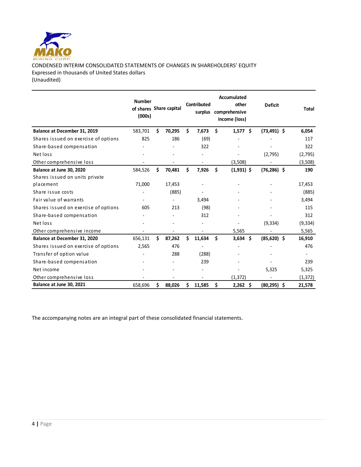

CONDENSED INTERIM CONSOLIDATED STATEMENTS OF CHANGES IN SHAREHOLDERS' EQUITY Expressed in thousands of United States dollars (Unaudited)

|                                      | <b>Number</b><br>(000s) |    | of shares Share capital |     | Contributed<br>surplus | <b>Accumulated</b><br>other<br>comprehensive<br>income (loss) | <b>Deficit</b> | Total                    |
|--------------------------------------|-------------------------|----|-------------------------|-----|------------------------|---------------------------------------------------------------|----------------|--------------------------|
| Balance at December 31, 2019         | 583,701                 | Ś. | 70,295                  | \$  | 7,673                  | \$<br>1,577<br>Ŝ.                                             | $(73, 491)$ \$ | 6,054                    |
| Shares issued on exercise of options | 825                     |    | 186                     |     | (69)                   |                                                               |                | 117                      |
| Share-based compensation             |                         |    |                         |     | 322                    |                                                               |                | 322                      |
| Net loss                             |                         |    |                         |     |                        |                                                               | (2,795)        | (2,795)                  |
| Other comprehensive loss             |                         |    |                         |     |                        | (3,508)                                                       |                | (3,508)                  |
| Balance at June 30, 2020             | 584,526                 | Ś. | 70,481                  | \$  | 7,926                  | \$<br>$(1,931)$ \$                                            | $(76, 286)$ \$ | 190                      |
| Shares issued on units private       |                         |    |                         |     |                        |                                                               |                |                          |
| placement                            | 71,000                  |    | 17,453                  |     |                        |                                                               |                | 17,453                   |
| Share issue costs                    |                         |    | (885)                   |     |                        |                                                               |                | (885)                    |
| Fair value of warrants               |                         |    |                         |     | 3,494                  |                                                               |                | 3,494                    |
| Shares issued on exercise of options | 605                     |    | 213                     |     | (98)                   |                                                               |                | 115                      |
| Share-based compensation             |                         |    |                         |     | 312                    |                                                               |                | 312                      |
| Net loss                             |                         |    |                         |     |                        |                                                               | (9, 334)       | (9, 334)                 |
| Other comprehensive income           |                         |    |                         |     |                        | 5,565                                                         |                | 5,565                    |
| Balance at December 31, 2020         | 656,131                 | Ś. | 87,262                  | Ś   | 11,634                 | \$<br>\$.<br>3,634                                            | $(85,620)$ \$  | 16,910                   |
| Shares issued on exercise of options | 2,565                   |    | 476                     |     |                        |                                                               |                | 476                      |
| Transfer of option value             |                         |    | 288                     |     | (288)                  |                                                               |                | $\overline{\phantom{a}}$ |
| Share-based compensation             |                         |    |                         |     | 239                    |                                                               |                | 239                      |
| Net income                           |                         |    |                         |     |                        |                                                               | 5,325          | 5,325                    |
| Other comprehensive loss             |                         |    |                         |     |                        | (1, 372)                                                      |                | (1, 372)                 |
| Balance at June 30, 2021             | 658,696                 | \$ | 88,026                  | \$. | 11,585                 | \$<br>$2,262$ \$                                              | $(80, 295)$ \$ | 21,578                   |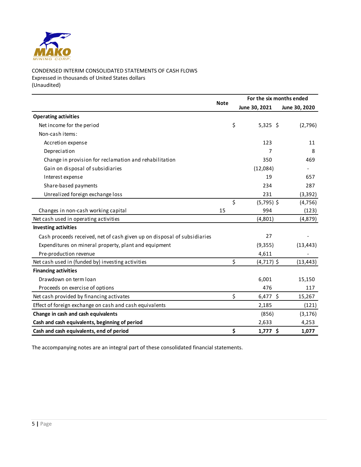

CONDENSED INTERIM CONSOLIDATED STATEMENTS OF CASH FLOWS Expressed in thousands of United States dollars (Unaudited)

|                                                                          |             | For the six months ended |               |  |  |  |  |
|--------------------------------------------------------------------------|-------------|--------------------------|---------------|--|--|--|--|
|                                                                          | <b>Note</b> | June 30, 2021            | June 30, 2020 |  |  |  |  |
| <b>Operating activities</b>                                              |             |                          |               |  |  |  |  |
| Net income for the period                                                |             | \$<br>$5,325$ \$         | (2,796)       |  |  |  |  |
| Non-cash items:                                                          |             |                          |               |  |  |  |  |
| Accretion expense                                                        |             | 123                      | 11            |  |  |  |  |
| Depreciation                                                             |             | 7                        | 8             |  |  |  |  |
| Change in provision for reclamation and rehabilitation                   |             | 350                      | 469           |  |  |  |  |
| Gain on disposal of subsidiaries                                         |             | (12,084)                 |               |  |  |  |  |
| Interest expense                                                         |             | 19                       | 657           |  |  |  |  |
| Share-based payments                                                     |             | 234                      | 287           |  |  |  |  |
| Unrealized foreign exchange loss                                         |             | 231                      | (3, 392)      |  |  |  |  |
|                                                                          |             | $\zeta$<br>$(5,795)$ \$  | (4, 756)      |  |  |  |  |
| Changes in non-cash working capital                                      | 15          | 994                      | (123)         |  |  |  |  |
| Net cash used in operating activities                                    |             | (4,801)                  | (4,879)       |  |  |  |  |
| <b>Investing activities</b>                                              |             |                          |               |  |  |  |  |
| Cash proceeds received, net of cash given up on disposal of subsidiaries |             | 27                       |               |  |  |  |  |
| Expenditures on mineral property, plant and equipment                    |             | (9,355)                  | (13, 443)     |  |  |  |  |
| Pre-production revenue                                                   |             | 4,611                    |               |  |  |  |  |
| Net cash used in (funded by) investing activities                        |             | \$<br>$(4,717)$ \$       | (13, 443)     |  |  |  |  |
| <b>Financing activities</b>                                              |             |                          |               |  |  |  |  |
| Drawdown on term loan                                                    |             | 6,001                    | 15,150        |  |  |  |  |
| Proceeds on exercise of options                                          |             | 476                      | 117           |  |  |  |  |
| Net cash provided by financing activates                                 |             | \$<br>$6,477$ \$         | 15,267        |  |  |  |  |
| Effect of foreign exchange on cash and cash equivalents                  |             | 2,185                    | (121)         |  |  |  |  |
| Change in cash and cash equivalents                                      |             | (856)                    | (3, 176)      |  |  |  |  |
| Cash and cash equivalents, beginning of period                           |             | 2,633                    | 4,253         |  |  |  |  |
| Cash and cash equivalents, end of period                                 |             | \$<br>1,777 \$           | 1,077         |  |  |  |  |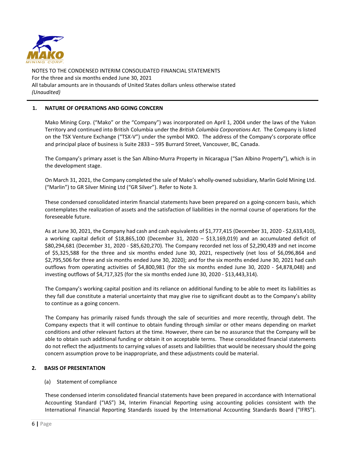

# **1. NATURE OF OPERATIONS AND GOING CONCERN**

Mako Mining Corp. ("Mako" or the "Company") was incorporated on April 1, 2004 under the laws of the Yukon Territory and continued into British Columbia under the *British Columbia Corporations Act.* The Company is listed on the TSX Venture Exchange ("TSX-V") under the symbol MKO. The address of the Company's corporate office and principal place of business is Suite 2833 – 595 Burrard Street, Vancouver, BC, Canada.

The Company's primary asset is the San Albino-Murra Property in Nicaragua ("San Albino Property"), which is in the development stage.

On March 31, 2021, the Company completed the sale of Mako's wholly-owned subsidiary, Marlin Gold Mining Ltd. ("Marlin") to GR Silver Mining Ltd ("GR Silver"). Refer to Note 3.

These condensed consolidated interim financial statements have been prepared on a going-concern basis, which contemplates the realization of assets and the satisfaction of liabilities in the normal course of operations for the foreseeable future.

As at June 30, 2021, the Company had cash and cash equivalents of \$1,777,415 (December 31, 2020 - \$2,633,410), a working capital deficit of \$18,865,100 (December 31, 2020 – \$13,169,019) and an accumulated deficit of \$80,294,681 (December 31, 2020 - \$85,620,270). The Company recorded net loss of \$2,290,439 and net income of \$5,325,588 for the three and six months ended June 30, 2021, respectively (net loss of \$6,096,864 and \$2,795,506 for three and six months ended June 30, 2020); and for the six months ended June 30, 2021 had cash outflows from operating activities of \$4,800,981 (for the six months ended June 30, 2020 - \$4,878,048) and investing outflows of \$4,717,325 (for the six months ended June 30, 2020 - \$13,443,314).

The Company's working capital position and its reliance on additional funding to be able to meet its liabilities as they fall due constitute a material uncertainty that may give rise to significant doubt as to the Company's ability to continue as a going concern.

The Company has primarily raised funds through the sale of securities and more recently, through debt. The Company expects that it will continue to obtain funding through similar or other means depending on market conditions and other relevant factors at the time. However, there can be no assurance that the Company will be able to obtain such additional funding or obtain it on acceptable terms. These consolidated financial statements do not reflect the adjustments to carrying values of assets and liabilities that would be necessary should the going concern assumption prove to be inappropriate, and these adjustments could be material.

# **2. BASIS OF PRESENTATION**

(a) Statement of compliance

These condensed interim consolidated financial statements have been prepared in accordance with International Accounting Standard ("IAS") 34, Interim Financial Reporting using accounting policies consistent with the International Financial Reporting Standards issued by the International Accounting Standards Board ("IFRS").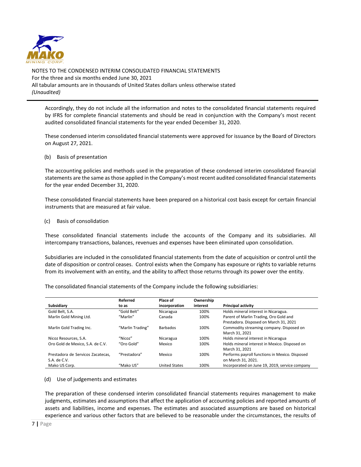

Accordingly, they do not include all the information and notes to the consolidated financial statements required by IFRS for complete financial statements and should be read in conjunction with the Company's most recent audited consolidated financial statements for the year ended December 31, 2020.

These condensed interim consolidated financial statements were approved for issuance by the Board of Directors on August 27, 2021.

### (b) Basis of presentation

The accounting policies and methods used in the preparation of these condensed interim consolidated financial statements are the same as those applied in the Company's most recent audited consolidated financial statements for the year ended December 31, 2020.

These consolidated financial statements have been prepared on a historical cost basis except for certain financial instruments that are measured at fair value.

#### (c) Basis of consolidation

These consolidated financial statements include the accounts of the Company and its subsidiaries. All intercompany transactions, balances, revenues and expenses have been eliminated upon consolidation.

Subsidiaries are included in the consolidated financial statements from the date of acquisition or control until the date of disposition or control ceases. Control exists when the Company has exposure or rights to variable returns from its involvement with an entity, and the ability to affect those returns through its power over the entity.

The consolidated financial statements of the Company include the following subsidiaries:

|                                   | Referred         | Place of             | Ownership |                                                |
|-----------------------------------|------------------|----------------------|-----------|------------------------------------------------|
| Subsidiary                        | to as            | incorporation        | interest  | <b>Principal activity</b>                      |
| Gold Belt, S.A.                   | "Gold Belt"      | Nicaragua            | 100%      | Holds mineral interest in Nicaragua.           |
| Marlin Gold Mining Ltd.           | "Marlin"         | Canada               | 100%      | Parent of Marlin Trading, Oro Gold and         |
|                                   |                  |                      |           | Prestadora. Disposed on March 31, 2021         |
| Marlin Gold Trading Inc.          | "Marlin Trading" | <b>Barbados</b>      | 100%      | Commodity streaming company. Disposed on       |
|                                   |                  |                      |           | March 31, 2021                                 |
| Nicoz Resources, S.A.             | "Nicoz"          | Nicaragua            | 100%      | Holds mineral interest in Nicaragua            |
| Oro Gold de Mexico, S.A. de C.V.  | "Oro Gold"       | Mexico               | 100%      | Holds mineral interest in Mexico. Disposed on  |
|                                   |                  |                      |           | March 31, 2021                                 |
| Prestadora de Servicos Zacatecas. | "Prestadora"     | Mexico               | 100%      | Performs payroll functions in Mexico. Disposed |
| S.A. de C.V.                      |                  |                      |           | on March 31, 2021.                             |
| Mako US Corp.                     | "Mako US"        | <b>United States</b> | 100%      | Incorporated on June 19, 2019, service company |

#### (d) Use of judgements and estimates

The preparation of these condensed interim consolidated financial statements requires management to make judgments, estimates and assumptions that affect the application of accounting policies and reported amounts of assets and liabilities, income and expenses. The estimates and associated assumptions are based on historical experience and various other factors that are believed to be reasonable under the circumstances, the results of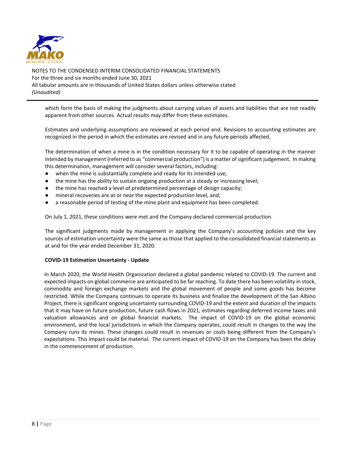

which form the basis of making the judgments about carrying values of assets and liabilities that are not readily apparent from other sources. Actual results may differ from these estimates.

Estimates and underlying assumptions are reviewed at each period end. Revisions to accounting estimates are recognized in the period in which the estimates are revised and in any future periods affected.

The determination of when a mine is in the condition necessary for it to be capable of operating in the manner intended by management (referred to as "commercial production") is a matter of significant judgement. In making this determination, management will consider several factors, including:

- when the mine is substantially complete and ready for its intended use;
- the mine has the ability to sustain ongoing production at a steady or increasing level;
- the mine has reached a level of predetermined percentage of design capacity;
- mineral recoveries are at or near the expected production level, and;
- a reasonable period of testing of the mine plant and equipment has been completed.

On July 1, 2021, these conditions were met and the Company declared commercial production.

The significant judgments made by management in applying the Company's accounting policies and the key sources of estimation uncertainty were the same as those that applied to the consolidated financial statements as at and for the year ended December 31, 2020.

# **COVID-19 Estimation Uncertainty - Update**

In March 2020, the World Health Organization declared a global pandemic related to COVID-19. The current and expected impacts on global commerce are anticipated to be far reaching. To date there has been volatility in stock, commodity and foreign exchange markets and the global movement of people and some goods has become restricted. While the Company continues to operate its business and finalize the development of the San Albino Project, there is significant ongoing uncertainty surrounding COVID-19 and the extent and duration of the impacts that it may have on future production, future cash flows in 2021, estimates regarding deferred income taxes and valuation allowances and on global financial markets. The impact of COVID-19 on the global economic environment, and the local jurisdictions in which the Company operates, could result in changes to the way the Company runs its mines. These changes could result in revenues or costs being different from the Company's expectations. This impact could be material. The current impact of COVID-19 on the Company has been the delay in the commencement of production.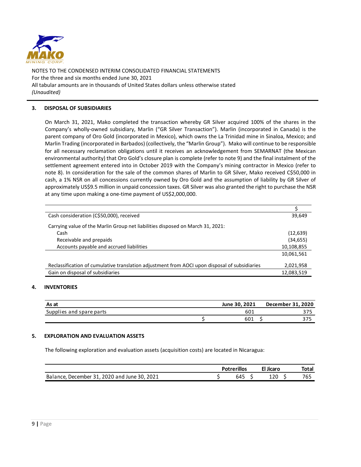

# **3. DISPOSAL OF SUBSIDIARIES**

On March 31, 2021, Mako completed the transaction whereby GR Silver acquired 100% of the shares in the Company's wholly-owned subsidiary, Marlin ("GR Silver Transaction"). Marlin (incorporated in Canada) is the parent company of Oro Gold (incorporated in Mexico), which owns the La Trinidad mine in Sinaloa, Mexico; and Marlin Trading (incorporated in Barbados) (collectively, the "Marlin Group"). Mako will continue to be responsible for all necessary reclamation obligations until it receives an acknowledgement from SEMARNAT (the Mexican environmental authority) that Oro Gold's closure plan is complete (refer to note 9) and the final instalment of the settlement agreement entered into in October 2019 with the Company's mining contractor in Mexico (refer to note 8). In consideration for the sale of the common shares of Marlin to GR Silver, Mako received C\$50,000 in cash, a 1% NSR on all concessions currently owned by Oro Gold and the assumption of liability by GR Silver of approximately US\$9.5 million in unpaid concession taxes. GR Silver was also granted the right to purchase the NSR at any time upon making a one-time payment of US\$2,000,000.

| Cash consideration (C\$50,000), received                                                      | 39,649     |
|-----------------------------------------------------------------------------------------------|------------|
| Carrying value of the Marlin Group net liabilities disposed on March 31, 2021:                |            |
| Cash                                                                                          | (12, 639)  |
| Receivable and prepaids                                                                       | (34, 655)  |
| Accounts payable and accrued liabilities                                                      | 10,108,855 |
|                                                                                               | 10,061,561 |
| Reclassification of cumulative translation adjustment from AOCI upon disposal of subsidiaries | 2,021,958  |
| Gain on disposal of subsidiaries                                                              | 12,083,519 |

# **4. INVENTORIES**

| As at                    | June 30, 2021 | December 31, 2020 |
|--------------------------|---------------|-------------------|
| Supplies and spare parts | 601           | 275               |
|                          | 601           | 375               |

# **5. EXPLORATION AND EVALUATION ASSETS**

The following exploration and evaluation assets (acquisition costs) are located in Nicaragua:

|                                              | <b>Potrerillos</b> | El Jicaro | Total |
|----------------------------------------------|--------------------|-----------|-------|
| Balance, December 31, 2020 and June 30, 2021 | 645                | 120       | 765   |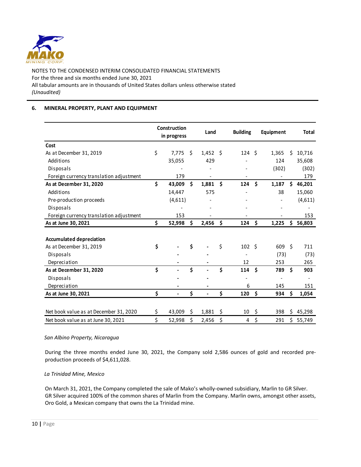

# **6. MINERAL PROPERTY, PLANT AND EQUIPMENT**

|                                         | Construction<br>in progress |    | Land       |     | <b>Building</b>  |                    | Equipment                |                      | <b>Total</b> |
|-----------------------------------------|-----------------------------|----|------------|-----|------------------|--------------------|--------------------------|----------------------|--------------|
| Cost                                    |                             |    |            |     |                  |                    |                          |                      |              |
| As at December 31, 2019                 | \$<br>7,775                 | Ŝ. | $1,452$ \$ |     | 124 <sub>5</sub> |                    | 1,365                    | Ŝ.                   | 10,716       |
| Additions                               | 35,055                      |    | 429        |     |                  |                    | 124                      |                      | 35,608       |
| Disposals                               |                             |    |            |     |                  |                    | (302)                    |                      | (302)        |
| Foreign currency translation adjustment | 179                         |    |            |     |                  |                    |                          |                      | 179          |
| As at December 31, 2020                 | \$<br>43,009                | Ŝ. | 1,881      | -\$ | 124              | Ś                  | 1,187                    | Ś.                   | 46,201       |
| Additions                               | 14,447                      |    | 575        |     |                  |                    | 38                       |                      | 15,060       |
| Pre-production proceeds                 | (4,611)                     |    |            |     |                  |                    |                          |                      | (4,611)      |
| Disposals                               |                             |    |            |     |                  |                    |                          |                      |              |
| Foreign currency translation adjustment | 153                         |    |            |     |                  |                    |                          |                      | 153          |
| As at June 30, 2021                     | \$<br>52,998                | Ś. | 2,456      | \$  | 124              | \$                 | 1,225                    | Ś.                   | 56,803       |
|                                         |                             |    |            |     |                  |                    |                          |                      |              |
| <b>Accumulated depreciation</b>         |                             |    |            |     |                  |                    |                          |                      |              |
| As at December 31, 2019                 | \$                          | \$ |            | \$  | 102 <sup>5</sup> |                    | 609 \$                   |                      | 711          |
| Disposals                               |                             |    |            |     |                  |                    | (73)                     |                      | (73)         |
| Depreciation                            |                             |    |            |     | 12               |                    | 253                      |                      | 265          |
| As at December 31, 2020                 | \$                          | \$ |            | Ś   | 114              | Ś                  | 789                      | $\boldsymbol{\zeta}$ | 903          |
| Disposals                               |                             |    |            |     |                  |                    | $\overline{\phantom{a}}$ |                      |              |
| Depreciation                            |                             |    |            |     | 6                |                    | 145                      |                      | 151          |
| As at June 30, 2021                     | \$                          | \$ |            | \$  | 120              | \$                 | 934                      | \$                   | 1,054        |
|                                         |                             |    |            |     |                  |                    |                          |                      |              |
| Net book value as at December 31, 2020  | \$<br>43,009                | \$ | 1,881      | \$  | 10               | $\ddot{\varsigma}$ | 398                      | \$                   | 45,298       |
| Net book value as at June 30, 2021      | \$<br>52,998                | \$ | 2,456      | \$  | 4                | \$                 | 291                      | Ś.                   | 55,749       |

# *San Albino Property, Nicaragua*

During the three months ended June 30, 2021, the Company sold 2,586 ounces of gold and recorded preproduction proceeds of \$4,611,028.

#### *La Trinidad Mine, Mexico*

On March 31, 2021, the Company completed the sale of Mako's wholly-owned subsidiary, Marlin to GR Silver. GR Silver acquired 100% of the common shares of Marlin from the Company. Marlin owns, amongst other assets, Oro Gold, a Mexican company that owns the La Trinidad mine.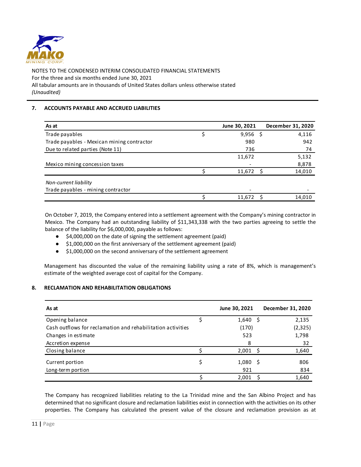

# **7. ACCOUNTS PAYABLE AND ACCRUED LIABILITIES**

| As at                                      | June 30, 2021 | December 31, 2020 |
|--------------------------------------------|---------------|-------------------|
| Trade payables                             | $9,956$ \$    | 4,116             |
| Trade payables - Mexican mining contractor | 980           | 942               |
| Due to related parties (Note 11)           | 736           | 74                |
|                                            | 11,672        | 5,132             |
| Mexico mining concession taxes             |               | 8,878             |
|                                            | 11,672        | 14,010            |
| Non-current liability                      |               |                   |
| Trade payables - mining contractor         |               |                   |
|                                            | 11.672        | 14.010            |

On October 7, 2019, the Company entered into a settlement agreement with the Company's mining contractor in Mexico. The Company had an outstanding liability of \$11,343,338 with the two parties agreeing to settle the balance of the liability for \$6,000,000, payable as follows:

- \$4,000,000 on the date of signing the settlement agreement (paid)
- \$1,000,000 on the first anniversary of the settlement agreement (paid)
- \$1,000,000 on the second anniversary of the settlement agreement

Management has discounted the value of the remaining liability using a rate of 8%, which is management's estimate of the weighted average cost of capital for the Company.

# **8. RECLAMATION AND REHABILITATION OBLIGATIONS**

| As at                                                       | June 30, 2021 |     | December 31, 2020 |
|-------------------------------------------------------------|---------------|-----|-------------------|
| Opening balance                                             | 1,640         | - S | 2,135             |
| Cash outflows for reclamation and rehabilitation activities | (170)         |     | (2, 325)          |
| Changes in estimate                                         | 523           |     | 1,798             |
| Accretion expense                                           | 8             |     | 32                |
| Closing balance                                             | 2,001         | ς   | 1,640             |
| Current portion                                             | 1,080         | -S  | 806               |
| Long-term portion                                           | 921           |     | 834               |
|                                                             | 2,001         |     | 1,640             |

The Company has recognized liabilities relating to the La Trinidad mine and the San Albino Project and has determined that no significant closure and reclamation liabilities exist in connection with the activities on its other properties. The Company has calculated the present value of the closure and reclamation provision as at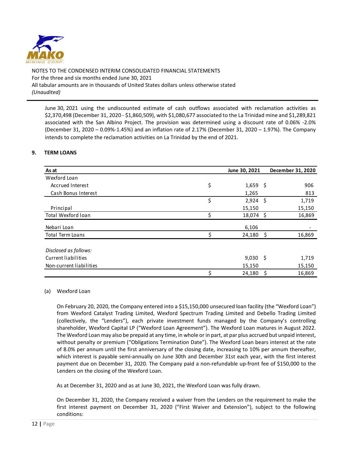

June 30, 2021 using the undiscounted estimate of cash outflows associated with reclamation activities as \$2,370,498 (December 31, 2020 - \$1,860,509), with \$1,080,677 associated to the La Trinidad mine and \$1,289,821 associated with the San Albino Project. The provision was determined using a discount rate of 0.06% -2.0% (December 31, 2020 – 0.09%-1.45%) and an inflation rate of 2.17% (December 31, 2020 – 1.97%). The Company intends to complete the reclamation activities on La Trinidad by the end of 2021.

# **9. TERM LOANS**

| As at                                        | June 30, 2021    | December 31, 2020 |
|----------------------------------------------|------------------|-------------------|
| Wexford Loan                                 |                  |                   |
| <b>Accrued Interest</b>                      | \$<br>$1,659$ \$ | 906               |
| Cash Bonus Interest                          | 1,265            | 813               |
|                                              | \$<br>2,924      | Ŝ.<br>1,719       |
| Principal                                    | 15,150           | 15,150            |
| Total Wexford loan                           | 18,074 \$        | 16,869            |
| Nebari Loan                                  | 6,106            |                   |
| <b>Total Term Loans</b>                      | 24,180           | 16,869<br>- \$    |
| Disclosed as follows:<br>Current liabilities | $9,030$ \$       | 1,719             |
| Non-current liabilities                      | 15,150           | 15,150            |
|                                              | 24,180           | 16,869<br>\$.     |

#### (a) Wexford Loan

On February 20, 2020, the Company entered into a \$15,150,000 unsecured loan facility (the "Wexford Loan") from Wexford Catalyst Trading Limited, Wexford Spectrum Trading Limited and Debello Trading Limited (collectively, the "Lenders"), each private investment funds managed by the Company's controlling shareholder, Wexford Capital LP ("Wexford Loan Agreement"). The Wexford Loan matures in August 2022. The Wexford Loan may also be prepaid at any time, in whole or in part, at par plus accrued but unpaid interest, without penalty or premium ("Obligations Termination Date"). The Wexford Loan bears interest at the rate of 8.0% per annum until the first anniversary of the closing date, increasing to 10% per annum thereafter, which interest is payable semi-annually on June 30th and December 31st each year, with the first interest payment due on December 31, 2020. The Company paid a non-refundable up-front fee of \$150,000 to the Lenders on the closing of the Wexford Loan.

As at December 31, 2020 and as at June 30, 2021, the Wexford Loan was fully drawn.

On December 31, 2020, the Company received a waiver from the Lenders on the requirement to make the first interest payment on December 31, 2020 ("First Waiver and Extension"), subject to the following conditions: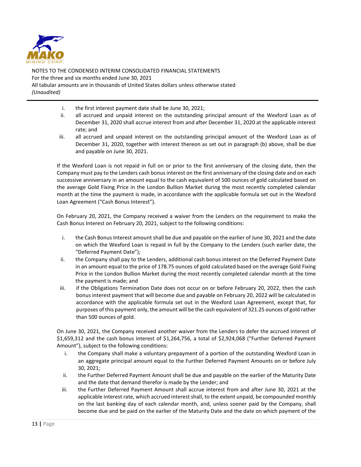

- i. the first interest payment date shall be June 30, 2021;
- ii. all accrued and unpaid interest on the outstanding principal amount of the Wexford Loan as of December 31, 2020 shall accrue interest from and after December 31, 2020 at the applicable interest rate; and
- iii. all accrued and unpaid interest on the outstanding principal amount of the Wexford Loan as of December 31, 2020, together with interest thereon as set out in paragraph (b) above, shall be due and payable on June 30, 2021.

If the Wexford Loan is not repaid in full on or prior to the first anniversary of the closing date, then the Company must pay to the Lenders cash bonus interest on the first anniversary of the closing date and on each successive anniversary in an amount equal to the cash equivalent of 500 ounces of gold calculated based on the average Gold Fixing Price in the London Bullion Market during the most recently completed calendar month at the time the payment is made, in accordance with the applicable formula set out in the Wexford Loan Agreement ("Cash Bonus Interest").

On February 20, 2021, the Company received a waiver from the Lenders on the requirement to make the Cash Bonus Interest on February 20, 2021, subject to the following conditions:

- i. the Cash Bonus Interest amount shall be due and payable on the earlier of June 30, 2021 and the date on which the Wexford Loan is repaid in full by the Company to the Lenders (such earlier date, the "Deferred Payment Date");
- ii. the Company shall pay to the Lenders, additional cash bonus interest on the Deferred Payment Date in an amount equal to the price of 178.75 ounces of gold calculated based on the average Gold Fixing Price in the London Bullion Market during the most recently completed calendar month at the time the payment is made; and
- iii. if the Obligations Termination Date does not occur on or before February 20, 2022, then the cash bonus interest payment that will become due and payable on February 20, 2022 will be calculated in accordance with the applicable formula set out in the Wexford Loan Agreement, except that, for purposes of this payment only, the amount will be the cash equivalent of 321.25 ounces of gold rather than 500 ounces of gold.

On June 30, 2021, the Company received another waiver from the Lenders to defer the accrued interest of \$1,659,312 and the cash bonus interest of \$1,264,756, a total of \$2,924,068 ("Further Deferred Payment Amount"), subject to the following conditions:

- i. the Company shall make a voluntary prepayment of a portion of the outstanding Wexford Loan in an aggregate principal amount equal to the Further Deferred Payment Amounts on or before July 30, 2021;
- ii. the Further Deferred Payment Amount shall be due and payable on the earlier of the Maturity Date and the date that demand therefor is made by the Lender; and
- iii. the Further Deferred Payment Amount shall accrue interest from and after June 30, 2021 at the applicable interest rate, which accrued interest shall, to the extent unpaid, be compounded monthly on the last banking day of each calendar month, and, unless sooner paid by the Company, shall become due and be paid on the earlier of the Maturity Date and the date on which payment of the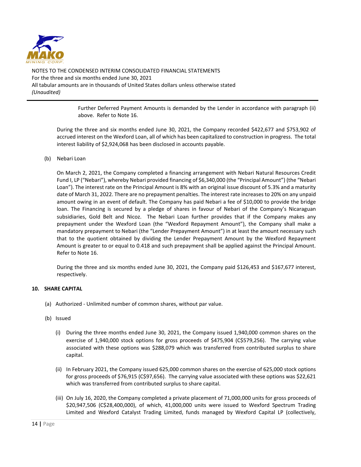

> Further Deferred Payment Amounts is demanded by the Lender in accordance with paragraph (ii) above. Refer to Note 16.

During the three and six months ended June 30, 2021, the Company recorded \$422,677 and \$753,902 of accrued interest on the Wexford Loan, all of which has been capitalized to construction in progress. The total interest liability of \$2,924,068 has been disclosed in accounts payable.

# (b) Nebari Loan

On March 2, 2021, the Company completed a financing arrangement with Nebari Natural Resources Credit Fund I, LP ("Nebari"), whereby Nebari provided financing of \$6,340,000 (the "Principal Amount") (the "Nebari Loan"). The interest rate on the Principal Amount is 8% with an original issue discount of 5.3% and a maturity date of March 31, 2022. There are no prepayment penalties. The interest rate increases to 20% on any unpaid amount owing in an event of default. The Company has paid Nebari a fee of \$10,000 to provide the bridge loan. The Financing is secured by a pledge of shares in favour of Nebari of the Company's Nicaraguan subsidiaries, Gold Belt and Nicoz. The Nebari Loan further provides that if the Company makes any prepayment under the Wexford Loan (the "Wexford Repayment Amount"), the Company shall make a mandatory prepayment to Nebari (the "Lender Prepayment Amount") in at least the amount necessary such that to the quotient obtained by dividing the Lender Prepayment Amount by the Wexford Repayment Amount is greater to or equal to 0.418 and such prepayment shall be applied against the Principal Amount. Refer to Note 16.

During the three and six months ended June 30, 2021, the Company paid \$126,453 and \$167,677 interest, respectively.

### **10. SHARE CAPITAL**

- (a) Authorized Unlimited number of common shares, without par value.
- (b) Issued
	- (i) During the three months ended June 30, 2021, the Company issued 1,940,000 common shares on the exercise of 1,940,000 stock options for gross proceeds of \$475,904 (C\$579,256). The carrying value associated with these options was \$288,079 which was transferred from contributed surplus to share capital.
	- (ii) In February 2021, the Company issued 625,000 common shares on the exercise of 625,000 stock options for gross proceeds of \$76,915 (C\$97,656). The carrying value associated with these options was \$22,621 which was transferred from contributed surplus to share capital.
	- (iii) On July 16, 2020, the Company completed a private placement of 71,000,000 units for gross proceeds of \$20,947,506 (C\$28,400,000), of which, 41,000,000 units were issued to Wexford Spectrum Trading Limited and Wexford Catalyst Trading Limited, funds managed by Wexford Capital LP (collectively,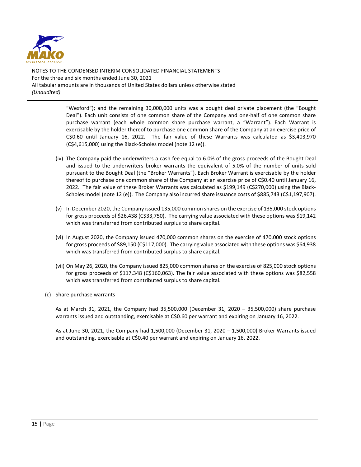

> "Wexford"); and the remaining 30,000,000 units was a bought deal private placement (the "Bought Deal"). Each unit consists of one common share of the Company and one-half of one common share purchase warrant (each whole common share purchase warrant, a "Warrant"). Each Warrant is exercisable by the holder thereof to purchase one common share of the Company at an exercise price of C\$0.60 until January 16, 2022. The fair value of these Warrants was calculated as \$3,403,970 (C\$4,615,000) using the Black-Scholes model (note 12 (e)).

- (iv) The Company paid the underwriters a cash fee equal to 6.0% of the gross proceeds of the Bought Deal and issued to the underwriters broker warrants the equivalent of 5.0% of the number of units sold pursuant to the Bought Deal (the "Broker Warrants"). Each Broker Warrant is exercisable by the holder thereof to purchase one common share of the Company at an exercise price of C\$0.40 until January 16, 2022. The fair value of these Broker Warrants was calculated as \$199,149 (C\$270,000) using the Black-Scholes model (note 12 (e)). The Company also incurred share issuance costs of \$885,743 (C\$1,197,907).
- (v) In December 2020, the Company issued 135,000 common shares on the exercise of 135,000 stock options for gross proceeds of \$26,438 (C\$33,750). The carrying value associated with these options was \$19,142 which was transferred from contributed surplus to share capital.
- (vi) In August 2020, the Company issued 470,000 common shares on the exercise of 470,000 stock options for gross proceeds of \$89,150 (C\$117,000). The carrying value associated with these options was \$64,938 which was transferred from contributed surplus to share capital.
- (vii) On May 26, 2020, the Company issued 825,000 common shares on the exercise of 825,000 stock options for gross proceeds of \$117,348 (C\$160,063). The fair value associated with these options was \$82,558 which was transferred from contributed surplus to share capital.
- (c) Share purchase warrants

As at March 31, 2021, the Company had 35,500,000 (December 31, 2020 – 35,500,000) share purchase warrants issued and outstanding, exercisable at C\$0.60 per warrant and expiring on January 16, 2022.

As at June 30, 2021, the Company had 1,500,000 (December 31, 2020 – 1,500,000) Broker Warrants issued and outstanding, exercisable at C\$0.40 per warrant and expiring on January 16, 2022.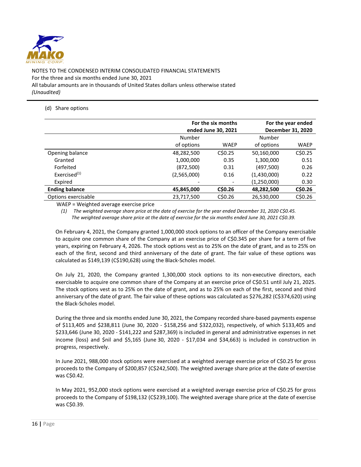

# (d) Share options

|                          | For the six months<br>ended June 30, 2021 | For the year ended<br>December 31, 2020 |             |             |
|--------------------------|-------------------------------------------|-----------------------------------------|-------------|-------------|
|                          | Number                                    |                                         |             |             |
|                          | of options                                | <b>WAEP</b>                             | of options  | <b>WAEP</b> |
| Opening balance          | 48,282,500                                | CSD.25                                  | 50,160,000  | C\$0.25     |
| Granted                  | 1,000,000                                 | 0.35                                    | 1,300,000   | 0.51        |
| Forfeited                | (872, 500)                                | 0.31                                    | (497,500)   | 0.26        |
| Exercised <sup>(1)</sup> | (2,565,000)                               | 0.16                                    | (1,430,000) | 0.22        |
| Expired                  |                                           |                                         | (1,250,000) | 0.30        |
| <b>Ending balance</b>    | 45,845,000                                | C\$0.26                                 | 48,282,500  | C\$0.26     |
| Options exercisable      | 23,717,500                                | C\$0.26                                 | 26,530,000  | C\$0.26     |

WAEP = Weighted average exercise price

*(1) The weighted average share price at the date of exercise for the year ended December 31, 2020 C\$0.45. The weighted average share price at the date of exercise for the six months ended June 30, 2021 C\$0.39.*

On February 4, 2021, the Company granted 1,000,000 stock options to an officer of the Company exercisable to acquire one common share of the Company at an exercise price of C\$0.345 per share for a term of five years, expiring on February 4, 2026. The stock options vest as to 25% on the date of grant, and as to 25% on each of the first, second and third anniversary of the date of grant. The fair value of these options was calculated as \$149,139 (C\$190,628) using the Black-Scholes model.

On July 21, 2020, the Company granted 1,300,000 stock options to its non-executive directors, each exercisable to acquire one common share of the Company at an exercise price of C\$0.51 until July 21, 2025. The stock options vest as to 25% on the date of grant, and as to 25% on each of the first, second and third anniversary of the date of grant. The fair value of these options was calculated as \$276,282 (C\$374,620) using the Black-Scholes model.

During the three and six months ended June 30, 2021, the Company recorded share-based payments expense of \$113,405 and \$238,811 (June 30, 2020 - \$158,256 and \$322,032), respectively, of which \$133,405 and \$233,646 (June 30, 2020 - \$141,222 and \$287,369) is included in general and administrative expenses in net income (loss) and \$nil and \$5,165 (June 30, 2020 - \$17,034 and \$34,663) is included in construction in progress, respectively.

In June 2021, 988,000 stock options were exercised at a weighted average exercise price of C\$0.25 for gross proceeds to the Company of \$200,857 (C\$242,500). The weighted average share price at the date of exercise was C\$0.42.

In May 2021, 952,000 stock options were exercised at a weighted average exercise price of C\$0.25 for gross proceeds to the Company of \$198,132 (C\$239,100). The weighted average share price at the date of exercise was C\$0.39.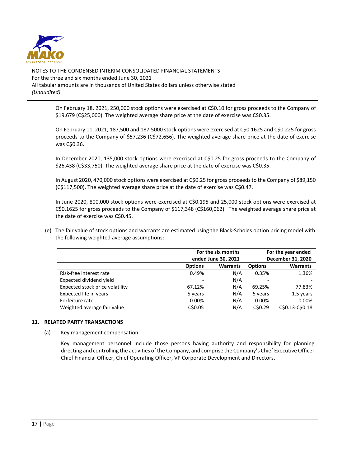

> On February 18, 2021, 250,000 stock options were exercised at C\$0.10 for gross proceeds to the Company of \$19,679 (C\$25,000). The weighted average share price at the date of exercise was C\$0.35.

> On February 11, 2021, 187,500 and 187,5000 stock options were exercised at C\$0.1625 and C\$0.225 for gross proceeds to the Company of \$57,236 (C\$72,656). The weighted average share price at the date of exercise was C\$0.36.

> In December 2020, 135,000 stock options were exercised at C\$0.25 for gross proceeds to the Company of \$26,438 (C\$33,750). The weighted average share price at the date of exercise was C\$0.35.

> In August 2020, 470,000 stock options were exercised at C\$0.25 for gross proceeds to the Company of \$89,150 (C\$117,500). The weighted average share price at the date of exercise was C\$0.47.

> In June 2020, 800,000 stock options were exercised at C\$0.195 and 25,000 stock options were exercised at C\$0.1625 for gross proceeds to the Company of \$117,348 (C\$160,062). The weighted average share price at the date of exercise was C\$0.45.

(e) The fair value of stock options and warrants are estimated using the Black-Scholes option pricing model with the following weighted average assumptions:

|                                 |                | For the six months<br>ended June 30, 2021 | For the year ended<br>December 31, 2020 |                 |  |  |
|---------------------------------|----------------|-------------------------------------------|-----------------------------------------|-----------------|--|--|
|                                 | <b>Options</b> | <b>Warrants</b>                           | <b>Options</b>                          | <b>Warrants</b> |  |  |
| Risk-free interest rate         | 0.49%          | N/A                                       | 0.35%                                   | 1.36%           |  |  |
| Expected dividend yield         |                | N/A                                       |                                         |                 |  |  |
| Expected stock price volatility | 67.12%         | N/A                                       | 69.25%                                  | 77.83%          |  |  |
| Expected life in years          | 5 years        | N/A                                       | 5 years                                 | 1.5 years       |  |  |
| Forfeiture rate                 | 0.00%          | N/A                                       | 0.00%                                   | 0.00%           |  |  |
| Weighted average fair value     | C\$0.05        | N/A                                       | C\$0.29                                 | C\$0.13-C\$0.18 |  |  |

# **11. RELATED PARTY TRANSACTIONS**

(a) Key management compensation

Key management personnel include those persons having authority and responsibility for planning, directing and controlling the activities of the Company, and comprise the Company's Chief Executive Officer, Chief Financial Officer, Chief Operating Officer, VP Corporate Development and Directors.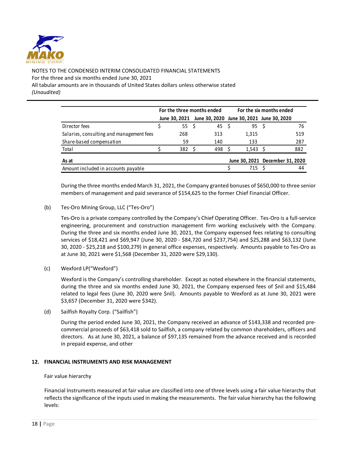

|                                          | For the three months ended |               |  | For the six months ended                  |  |                                 |  |     |
|------------------------------------------|----------------------------|---------------|--|-------------------------------------------|--|---------------------------------|--|-----|
|                                          |                            | June 30. 2021 |  | June 30, 2020 June 30, 2021 June 30, 2020 |  |                                 |  |     |
| Director fees                            |                            | 55\$          |  | 45                                        |  | 95 S                            |  | 76  |
| Salaries, consulting and management fees |                            | 268           |  | 313                                       |  | 1,315                           |  | 519 |
| Share-based compensation                 |                            | 59            |  | 140                                       |  | 133                             |  | 287 |
| Total                                    |                            | 382           |  | 498                                       |  | 1.543                           |  | 882 |
| As at                                    |                            |               |  |                                           |  | June 30, 2021 December 31, 2020 |  |     |
| Amount included in accounts payable      |                            |               |  |                                           |  | 715                             |  | 44  |

During the three months ended March 31, 2021, the Company granted bonuses of \$650,000 to three senior members of management and paid severance of \$154,625 to the former Chief Financial Officer.

(b) Tes-Oro Mining Group, LLC ("Tes-Oro")

Tes-Oro is a private company controlled by the Company's Chief Operating Officer. Tes-Oro is a full-service engineering, procurement and construction management firm working exclusively with the Company. During the three and six months ended June 30, 2021, the Company expensed fees relating to consulting services of \$18,421 and \$69,947 (June 30, 2020 - \$84,720 and \$237,754) and \$25,288 and \$63,132 (June 30, 2020 - \$25,218 and \$100,279) in general office expenses, respectively. Amounts payable to Tes-Oro as at June 30, 2021 were \$1,568 (December 31, 2020 were \$29,130).

(c) Wexford LP("Wexford")

Wexford is the Company's controlling shareholder. Except as noted elsewhere in the financial statements, during the three and six months ended June 30, 2021, the Company expensed fees of \$nil and \$15,484 related to legal fees (June 30, 2020 were \$nil). Amounts payable to Wexford as at June 30, 2021 were \$3,657 (December 31, 2020 were \$342).

(d) Sailfish Royalty Corp. ("Sailfish")

During the period ended June 30, 2021, the Company received an advance of \$143,338 and recorded precommercial proceeds of \$63,418 sold to Sailfish, a company related by common shareholders, officers and directors. As at June 30, 2021, a balance of \$97,135 remained from the advance received and is recorded in prepaid expense, and other

# **12. FINANCIAL INSTRUMENTS AND RISK MANAGEMENT**

Fair value hierarchy

Financial Instruments measured at fair value are classified into one of three levels using a fair value hierarchy that reflects the significance of the inputs used in making the measurements. The fair value hierarchy has the following levels: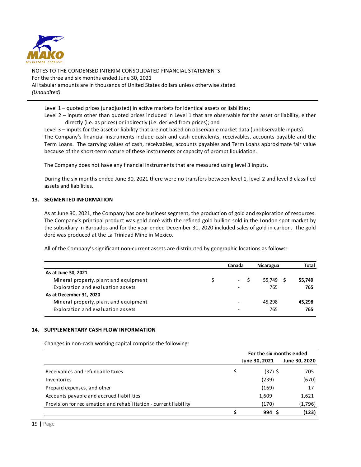

Level 1 – quoted prices (unadjusted) in active markets for identical assets or liabilities;

Level 2 – inputs other than quoted prices included in Level 1 that are observable for the asset or liability, either directly (i.e. as prices) or indirectly (i.e. derived from prices); and

Level 3 – inputs for the asset or liability that are not based on observable market data (unobservable inputs). The Company's financial instruments include cash and cash equivalents, receivables, accounts payable and the Term Loans. The carrying values of cash, receivables, accounts payables and Term Loans approximate fair value because of the short-term nature of these instruments or capacity of prompt liquidation.

The Company does not have any financial instruments that are measured using level 3 inputs.

During the six months ended June 30, 2021 there were no transfers between level 1, level 2 and level 3 classified assets and liabilities.

### **13. SEGMENTED INFORMATION**

As at June 30, 2021, the Company has one business segment, the production of gold and exploration of resources. The Company's principal product was gold doré with the refined gold bullion sold in the London spot market by the subsidiary in Barbados and for the year ended December 31, 2020 included sales of gold in carbon. The gold doré was produced at the La Trinidad Mine in Mexico.

All of the Company's significant non-current assets are distributed by geographic locations as follows:

|                                       | Canada                   | Nicaragua | <b>Total</b> |
|---------------------------------------|--------------------------|-----------|--------------|
| As at June 30, 2021                   |                          |           |              |
| Mineral property, plant and equipment | -                        | 55.749 S  | 55.749       |
| Exploration and evaluation assets     | $\overline{\phantom{0}}$ | 765       | 765          |
| As at December 31, 2020               |                          |           |              |
| Mineral property, plant and equipment | $\overline{\phantom{0}}$ | 45.298    | 45,298       |
| Exploration and evaluation assets     |                          | 765       | 765          |

#### **14. SUPPLEMENTARY CASH FLOW INFORMATION**

Changes in non-cash working capital comprise the following:

|                                                                  | For the six months ended |               |  |  |
|------------------------------------------------------------------|--------------------------|---------------|--|--|
|                                                                  | June 30, 2021            | June 30, 2020 |  |  |
| Receivables and refundable taxes                                 | (37) \$                  | 705           |  |  |
| Inventories                                                      | (239)                    | (670)         |  |  |
| Prepaid expenses, and other                                      | (169)                    | 17            |  |  |
| Accounts payable and accrued liabilities                         | 1,609                    | 1,621         |  |  |
| Provision for reclamation and rehabilitation - current liability | (170)                    | (1,796)       |  |  |
|                                                                  | 994 S                    | (123)         |  |  |